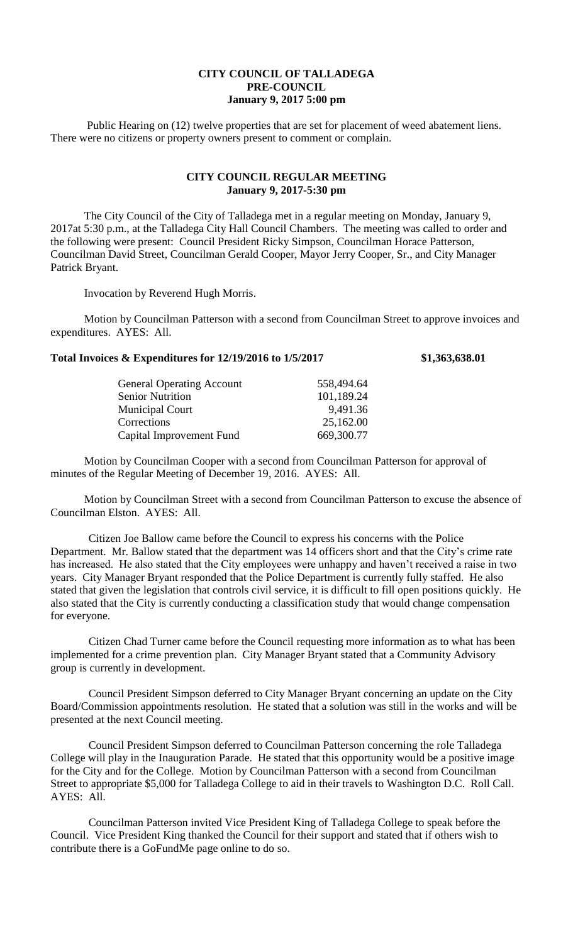## **CITY COUNCIL OF TALLADEGA PRE-COUNCIL January 9, 2017 5:00 pm**

Public Hearing on (12) twelve properties that are set for placement of weed abatement liens. There were no citizens or property owners present to comment or complain.

## **CITY COUNCIL REGULAR MEETING January 9, 2017-5:30 pm**

The City Council of the City of Talladega met in a regular meeting on Monday, January 9, 2017at 5:30 p.m., at the Talladega City Hall Council Chambers. The meeting was called to order and the following were present: Council President Ricky Simpson, Councilman Horace Patterson, Councilman David Street, Councilman Gerald Cooper, Mayor Jerry Cooper, Sr., and City Manager Patrick Bryant.

Invocation by Reverend Hugh Morris.

Motion by Councilman Patterson with a second from Councilman Street to approve invoices and expenditures. AYES: All.

## **Total Invoices & Expenditures for 12/19/2016 to 1/5/2017 \$1,363,638.01**

| <b>General Operating Account</b> | 558,494.64 |
|----------------------------------|------------|
| <b>Senior Nutrition</b>          | 101,189.24 |
| <b>Municipal Court</b>           | 9,491.36   |
| Corrections                      | 25,162.00  |
| Capital Improvement Fund         | 669,300.77 |
|                                  |            |

Motion by Councilman Cooper with a second from Councilman Patterson for approval of minutes of the Regular Meeting of December 19, 2016. AYES: All.

Motion by Councilman Street with a second from Councilman Patterson to excuse the absence of Councilman Elston. AYES: All.

Citizen Joe Ballow came before the Council to express his concerns with the Police Department. Mr. Ballow stated that the department was 14 officers short and that the City's crime rate has increased. He also stated that the City employees were unhappy and haven't received a raise in two years. City Manager Bryant responded that the Police Department is currently fully staffed. He also stated that given the legislation that controls civil service, it is difficult to fill open positions quickly. He also stated that the City is currently conducting a classification study that would change compensation for everyone.

Citizen Chad Turner came before the Council requesting more information as to what has been implemented for a crime prevention plan. City Manager Bryant stated that a Community Advisory group is currently in development.

Council President Simpson deferred to City Manager Bryant concerning an update on the City Board/Commission appointments resolution. He stated that a solution was still in the works and will be presented at the next Council meeting.

Council President Simpson deferred to Councilman Patterson concerning the role Talladega College will play in the Inauguration Parade. He stated that this opportunity would be a positive image for the City and for the College. Motion by Councilman Patterson with a second from Councilman Street to appropriate \$5,000 for Talladega College to aid in their travels to Washington D.C. Roll Call. AYES: All.

Councilman Patterson invited Vice President King of Talladega College to speak before the Council. Vice President King thanked the Council for their support and stated that if others wish to contribute there is a GoFundMe page online to do so.